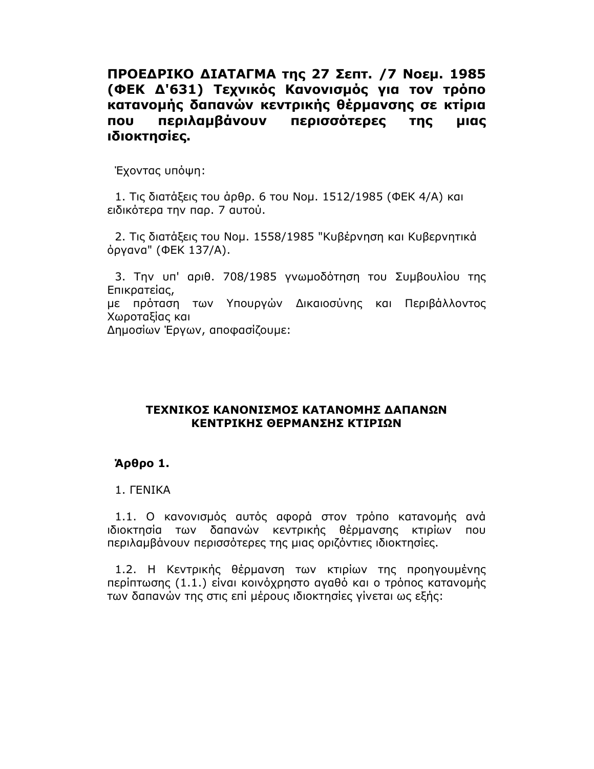ΠΡΟΕΔΡΙΚΟ ΔΙΑΤΑΓΜΑ της 27 Σεπτ. /7 Νοεμ. 1985 (ΦΕΚ Δ'631) Τεχνικός Κανονισμός για τον τρόπο κατανομής δαπανών κεντρικής θέρμανσης σε κτίρια **NOU** περιλαμβάνουν περισσότερες **TNC LIICO** ιδιοκτησίες.

Έχοντας υπόψη:

1. Τις διατάξεις του άρθρ. 6 του Νομ. 1512/1985 (ΦΕΚ 4/Α) και ειδικότερα την παρ. 7 αυτού.

2. Τις διατάξεις του Νομ. 1558/1985 "Κυβέρνηση και Κυβερνητικά όργανα" (ΦΕΚ 137/Α).

3. Την υπ' αριθ. 708/1985 γνωμοδότηση του Συμβουλίου της Επικρατείας,

με πρόταση των Υπουργών Δικαιοσύνης και Περιβάλλοντος Χωροταξίας και

Δημοσίων Έργων, αποφασίζουμε:

#### ΤΕΧΝΙΚΟΣ ΚΑΝΟΝΙΣΜΟΣ ΚΑΤΑΝΟΜΗΣ ΔΑΠΑΝΩΝ ΚΕΝΤΡΙΚΗΣ ΘΕΡΜΑΝΣΗΣ ΚΤΙΡΙΩΝ

### Άρθρο 1.

### 1. FENIKA

1.1. Ο κανονισμός αυτός αφορά στον τρόπο κατανομής ανά ιδιοκτησία των δαπανών κεντρικής θέρμανσης κτιρίων που περιλαμβάνουν περισσότερες της μιας οριζόντιες ιδιοκτησίες.

1.2. Η Κεντρικής θέρμανση των κτιρίων της προηγουμένης περίπτωσης (1.1.) είναι κοινόχρηστο αγαθό και ο τρόπος κατανομής των δαπανών της στις επί μέρους ιδιοκτησίες γίνεται ως εξής: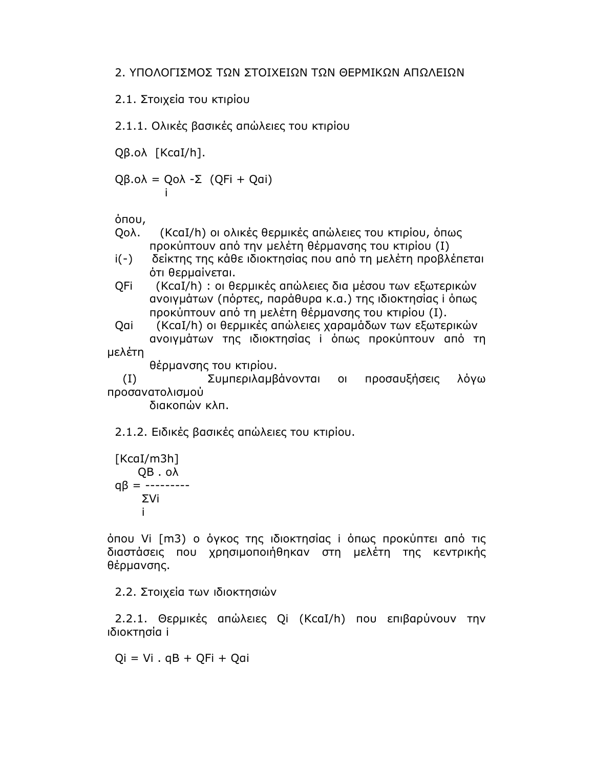2.1. Στοιχεία του κτιρίου

2.1.1. Ολικές βασικές απώλειες του κτιρίου

Qβ.ολ [KcaI/h].

 $Q\beta.o\lambda = Qo\lambda - \Sigma$  ( $QFi + Qai$ ) İ

όπου,

- I5 !SK@L'5(-(-95 (6 7 3 προκύπτουν από την μελέτη θέρμανσης του κτιρίου (Ι)
- i(-) δείκτης της κάθε ιδιοκτησίας που από τη μελέτη προβλέπεται ότι θερμαίνεται.
- QFi (KcaI/h) : οι θερμικές απώλειες δια μέσου των εξωτερικών ανοιγμάτων (πόρτες, παράθυρα κ.α.) της ιδιοκτησίας i όπως προκύπτουν από τη μελέτη θέρμανσης του κτιρίου (Ι).
- Qai (KcaI/h) οι θερμικές απώλειες χαραμάδων των εξωτερικών ανοιγμάτων της ιδιοκτησίας i όπως προκύπτουν από τη μελέτη

θέρμανσης του κτιρίου.

!@' 4 5, προσαυξήσεις λόγω προσανατολισμού

διακοπών κλπ.

2.1.2. Ειδικές βασικές απώλειες του κτιρίου.

$$
[KcaI/m3h]
$$
  
QB . oλ  
qβ = ------  
ΣVi  
i

όπου Vi [m3) ο όγκος της ιδιοκτησίας i όπως προκύπτει από τις διαστάσεις που χρησιμοποιήθηκαν στη μελέτη της κεντρικής θέρμανσης.

2.2. Στοιχεία των ιδιοκτησιών

2.2.1. Θερμικές απώλειες Qi (KcaI/h) που επιβαρύνουν την ιδιοκτησία i

 $0i = Vi$ .  $qB + OFi + Oqi$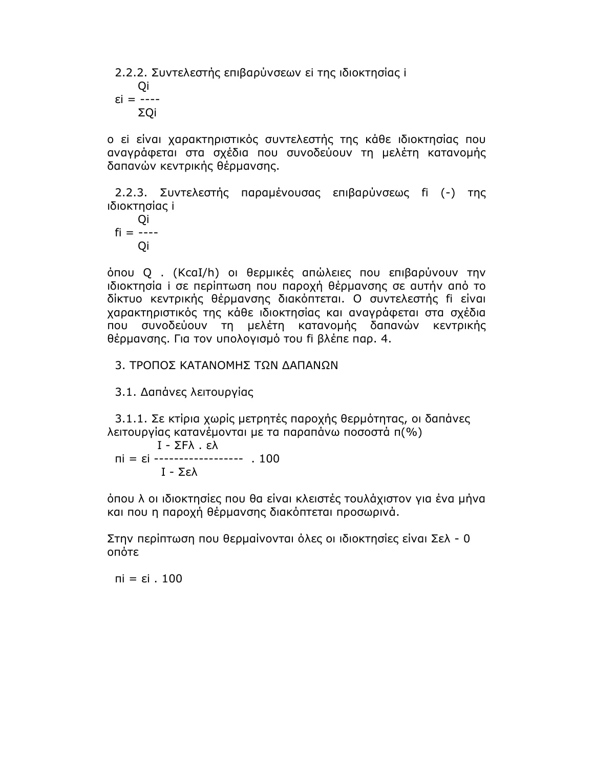2.2.2. Συντελεστής επιβαρύνσεων εί της ιδιοκτησίας i

Qi  $\epsilon i = -- \Sigma$ Qi

ο εί είναι χαρακτηριστικός συντελεστής της κάθε ιδιοκτησίας που αναγράφεται στα σχέδια που συνοδεύουν τη μελέτη κατανομής δαπανών κεντρικής θέρμανσης.

2.2.3. Συντελεστής παραμένουσας επιβαρύνσεως fi (-) της ιδιοκτησίας i

Qi  $fi = ---$ Qi

όπου Q. (KcaI/h) οι θερμικές απώλειες που επιβαρύνουν την ιδιοκτησία i σε περίπτωση που παροχή θέρμανσης σε αυτήν από το δίκτυο κεντρικής θέρμανσης διακόπτεται. Ο συντελεστής fi είναι χαρακτηριστικός της κάθε ιδιοκτησίας και αναγράφεται στα σχέδια που συνοδεύουν τη μελέτη κατανομής δαπανών κεντρικής θέρμανσης. Για τον υπολογισμό του fi βλέπε παρ. 4.

3. ΤΡΟΠΟΣ ΚΑΤΑΝΟΜΗΣ ΤΩΝ ΔΑΠΑΝΩΝ

3.1. Δαπάνες λειτουργίας

3.1.1. Σε κτίρια χωρίς μετρητές παροχής θερμότητας, οι δαπάνες λειτουργίας κατανέμονται με τα παραπάνω ποσοστά π(%)

 $I - \Sigma F\lambda$ ,  $\epsilon\lambda$  $\overline{n}$  =  $\epsilon$ i ------------------ . 100 I - Σελ

όπου λ οι ιδιοκτησίες που θα είναι κλειστές τουλάχιστον για ένα μήνα και που η παροχή θέρμανσης διακόπτεται προσωρινά.

Στην περίπτωση που θερμαίνονται όλες οι ιδιοκτησίες είναι Σελ - 0 οπότε

 $\overline{n}$ i =  $\epsilon$ i . 100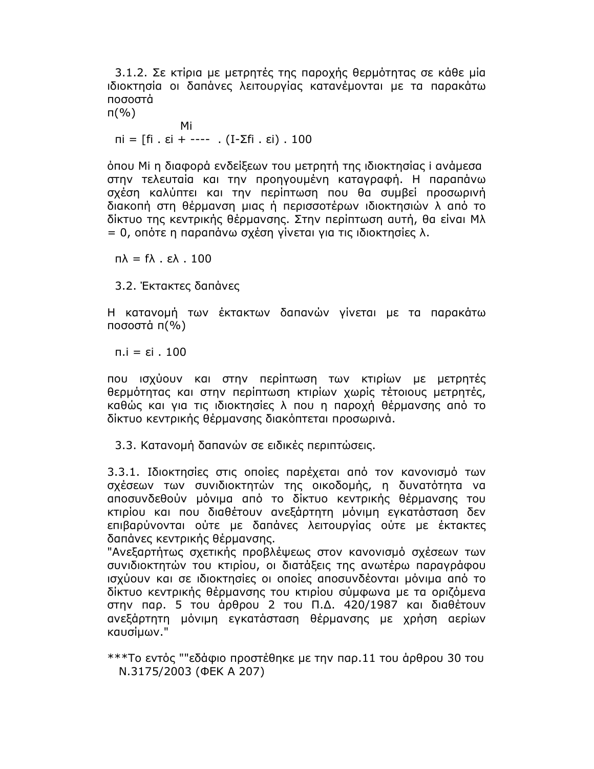3.1.2. Σε κτίρια με μετρητές της παροχής θερμότητας σε κάθε μία ιδιοκτησία οι δαπάνες λειτουργίας κατανέμονται με τα παρακάτω ποσοστἁ

п(%)

Mi πi = [fi . εi + ---- . (Ι-Σfi . εi) . 100

όπου Μi η διαφορά ενδείξεων του μετρητή της ιδιοκτησίας i ανάμεσα στην τελευταία και την προηγουμένη καταγραφή. Η παραπάνω σχέση καλύπτει και την περίπτωση που θα συμβεί προσωρινή διακοπή στη θέρμανση μιας ή περισσοτέρων ιδιοκτησιών λ από το δίκτυο της κεντρικής θέρμανσης. Στην περίπτωση αυτή, θα είναι Μλ = 0, οπότε η παραπάνω σχέση γίνεται για τις ιδιοκτησίες λ.

 $\mathsf{n}\lambda = \mathsf{f}\lambda$  . ελ . 100

3.2. Έκτακτες δαπάνες

Η κατανομή των ἐκτακτων δαπανών γίνεται με τα παρακάτω ποσοστά π(%)

π.i = εi . 100

που ισχύουν και στην περίπτωση των κτιρίων με μετρητές θερμότητας και στην περίπτωση κτιρίων χωρίς τέτοιους μετρητές, καθώς και για τις ιδιοκτησίες λ που η παροχή θέρμανσης από το δίκτυο κεντρικής θέρμανσης διακόπτεται προσωρινά.

3.3. Κατανομή δαπανών σε ειδικές περιπτώσεις.

3.3.1. Ιδιοκτησίες στις οποίες παρέχεται από τον κανονισμό των σχέσεων των συνιδιοκτητών της οικοδομής, η δυνατότητα να αποσυνδεθούν μόνιμα από το δίκτυο κεντρικής θέρμανσης του κτιρίου και που διαθέτουν ανεξάρτητη μόνιμη εγκατάσταση δεν επιβαρύνονται ούτε με δαπάνες λειτουργίας ούτε με έκτακτες δαπάνες κεντρικής θέρμανσης.

"Ανεξαρτήτως σχετικής προβλέψεως στον κανονισμό σχέσεων των συνιδιοκτητών του κτιρίου, οι διατάξεις της ανωτέρω παραγράφου ισχύουν και σε ιδιοκτησίες οι οποίες αποσυνδέονται μόνιμα από το δίκτυο κεντρικής θέρμανσης του κτιρίου σύμφωνα με τα οριζόμενα στην παρ. 5 του ἀρθρου 2 του Π.Δ. 420/1987 και διαθέτουν ανεξάρτητη μόνιμη εγκατάσταση θέρμανσης με χρήση αερίων καυσίμων."

\*\*\*Το εντός ""εδάφιο προστέθηκε με την παρ.11 του άρθρου 30 του N.3175/2003 (ΦEK A 207)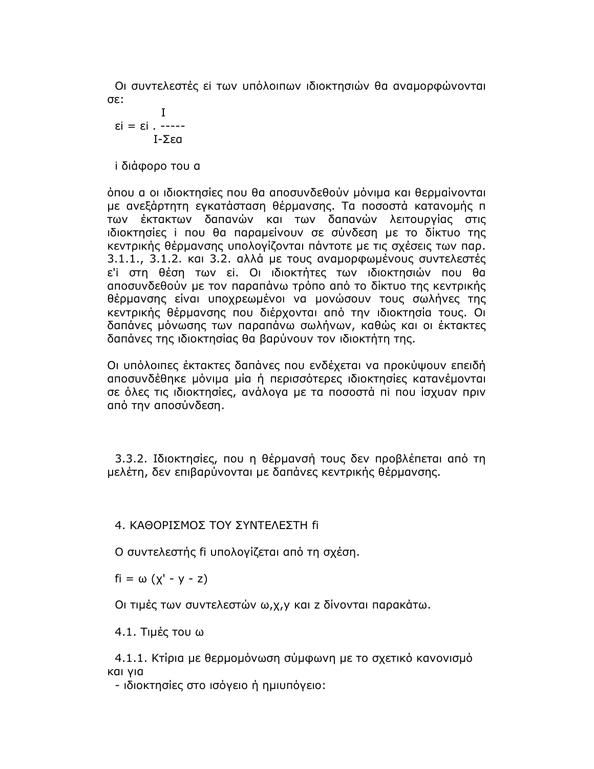Οι συντελεστές εί των υπόλοιπων ιδιοκτησιών θα αναμορφώνονται .:3Ο

$$
I
$$
  

$$
\epsilon i = \epsilon i . \ \dots
$$
  

$$
I - \Sigma \epsilon a
$$

i διάφορο του α

όπου α οι ιδιοκτησίες που θα αποσυνδεθούν μόνιμα και θερμαίνονται με ανεξάρτητη εγκατάσταση θέρμανσης. Τα ποσοστά κατανομής π των ἐκτακτων δαπανών και των δαπανών λειτουργίας στις ιδιοκτησίες i που θα παραμείνουν σε σύνδεση με το δίκτυο της κεντρικής θέρμανσης υπολογίζονται πάντοτε με τις σχέσεις των παρ. 3.1.1., 3.1.2. και 3.2. αλλά με τους αναμορφωμένους συντελεστές ε'i στη θέση των εi. Οι ιδιοκτήτες των ιδιοκτησιών που θα αποσυνδεθούν με τον παραπάνω τρόπο από το δίκτυο της κεντρικής θέρμανσης είναι υποχρεωμένοι να μονώσουν τους σωλήνες της κεντρικής θέρμανσης που διέρχονται από την ιδιοκτησία τους. Οι δαπάνες μόνωσης των παραπάνω σωλήνων, καθώς και οι έκτακτες δαπάνες της ιδιοκτησίας θα βαρύνουν τον ιδιοκτήτη της.

Οι υπόλοιπες έκτακτες δαπάνες που ενδέχεται να προκύψουν επειδή αποσυνδέθηκε μόνιμα μία ή περισσότερες ιδιοκτησίες κατανέμονται σε όλες τις ιδιοκτησίες, ανάλογα με τα ποσοστά πι που ίσχυαν πριν από την αποσύνδεση.

3.3.2. Ιδιοκτησίες, που η θέρμανσή τους δεν προβλέπεται από τη μελέτη, δεν επιβαρύνονται με δαπάνες κεντρικής θέρμανσης.

### 4. ΚΑΘΟΡΙΣΜΟΣ ΤΟΥ ΣΥΝΤΕΛΕΣΤΗ fi

Ο συντελεστής fi υπολογίζεται από τη σχέση.

 $fi = \omega (x' - y - z)$ 

Οι τιμές των συντελεστών ω,χ,γ και z δίνονται παρακάτω.

 $4.1.$  Τιμές του ω

4.1.1. Κτίρια με θερμομόνωση σύμφωνη με το σχετικό κανονισμό KAI VIA

- ιδιοκτησίες στο ισόγειο ή ημιυπόγειο: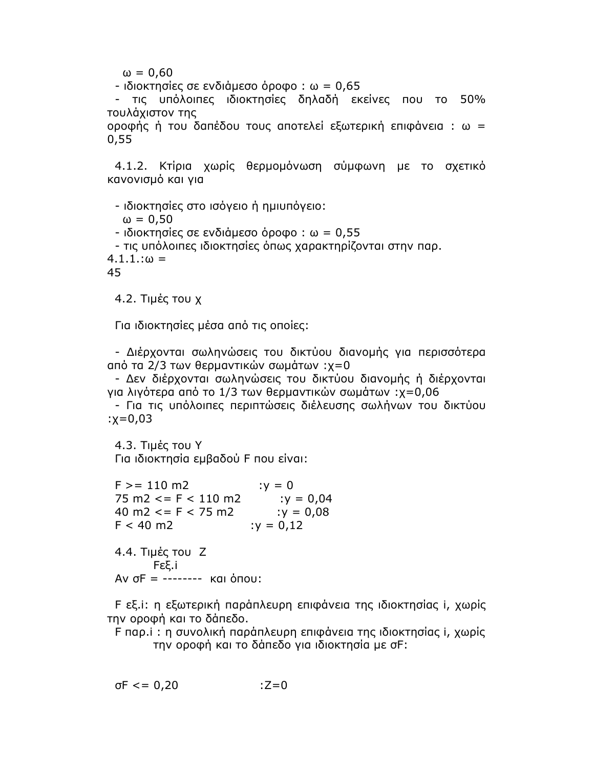$\omega = 0.60$ 

 $-$  ιδιοκτησίες σε ενδιάμεσο όροφο: ω = 0,65

- τις υπόλοιπες ιδιοκτησίες δηλαδή εκείνες που το 50% τουλάχιστον της

οροφής ή του δαπέδου τους αποτελεί εξωτερική επιφάνεια : ω =  $0,55$ 

4.1.2. Κτίρια χωρίς θερμομόνωση σύμφωνη με το σχετικό κανονισμό και για

- ιδιοκτησίες στο ισόγειο ή ημιυπόγειο:  $\omega = 0.50$ - ιδιοκτησίες σε ενδιάμεσο όροφο: ω = 0,55 - τις υπόλοιπες ιδιοκτησίες όπως χαρακτηρίζονται στην παρ.  $4.1.1:(a) =$ 45

4.2. Τιμές του χ

Για ιδιοκτησίες μέσα από τις οποίες:

- Διέρχονται σωληνώσεις του δικτύου διανομής για περισσότερα από τα 2/3 των θερμαντικών σωμάτων :χ=0

- Δεν διέρχονται σωληνώσεις του δικτύου διανομής ή διέρχονται για λιγότερα από το 1/3 των θερμαντικών σωμάτων :χ=0,06

- Για τις υπόλοιπες περιπτώσεις διέλευσης σωλήνων του δικτύου  $: x = 0.03$ 

4.3. Tιμές του Υ Για ιδιοκτησία εμβαδού F που είναι:

 $: y = 0$  $F > = 110$  m2  $75 \text{ m2} \leq F \leq 110 \text{ m2}$  :  $y = 0.04$  $40 \text{ m2} \leq F \leq 75 \text{ m2}$  $: y = 0.08$  $F < 40 \text{ m2}$  $: y = 0, 12$ 4.4. Τιμές του Ζ Fεξ.i Aν σF = -------- και όπου:

F εξ.i: η εξωτερική παράπλευρη επιφάνεια της ιδιοκτησίας i, χωρίς την οροφή και το δάπεδο.

F παρ.i : η συνολική παράπλευρη επιφάνεια της ιδιοκτησίας i, χωρίς την οροφή και το δάπεδο για ιδιοκτησία με σF:

 $\sigma F \le 0.20$  $:Z=0$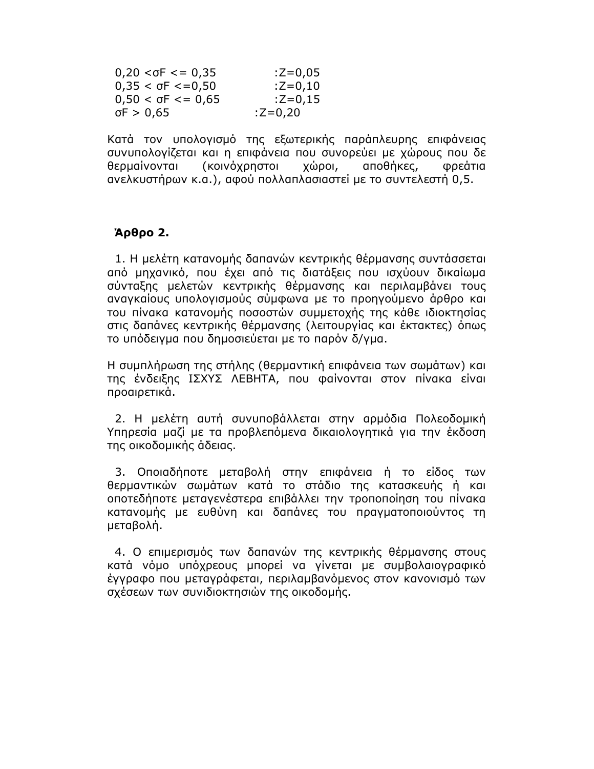| $0,20 < \sigma F \le 0,35$ | $Z = 0.05$ |
|----------------------------|------------|
| $0,35 < \sigma F < 0.50$   | $Z = 0,10$ |
| $0,50 < \sigma F \le 0,65$ | $:Z=0,15$  |
| $\sigma$ F > 0,65          | :Z=0,20    |

Κατά τον υπολογισμό της εξωτερικής παράπλευρης επιφάνειας συνυπολογίζεται και η επιφάνεια που συνορεύει με χώρους που δε θερμαίνονται (κοινόχρηστοι χώροι, αποθήκες, Φρεάτια ανελκυστήρων κ.α.), αφού πολλαπλασιαστεί με το συντελεστή 0,5.

# $A$ ρθρο 2.

1. Η μελέτη κατανομής δαπανών κεντρικής θέρμανσης συντάσσεται από μηχανικό, που έχει από τις διατάξεις που ισχύουν δικαίωμα σύνταξης μελετών κεντρικής θέρμανσης και περιλαμβάνει τους αναγκαίους υπολογισμούς σύμφωνα με το προηγούμενο άρθρο και του πίνακα κατανομής ποσοστών συμμετοχής της κάθε ιδιοκτησίας στις δαπάνες κεντρικής θέρμανσης (λειτουργίας και έκτακτες) όπως το υπόδειγμα που δημοσιεύεται με το παρόν δ/γμα.

Η συμπλήρωση της στήλης (θερμαντική επιφάνεια των σωμάτων) και της ένδειξης ΙΣΧΥΣ ΛΕΒΗΤΑ, που φαίνονται στον πίνακα είναι προαιρετικά.

2. Η μελέτη αυτή συνυποβάλλεται στην αρμόδια Πολεοδομική Υπηρεσία μαζί με τα προβλεπόμενα δικαιολογητικά για την έκδοση της οικοδομικής άδειας.

3. Οποιαδήποτε μεταβολή στην επιφάνεια ή το είδος των θερμαντικών σωμάτων κατά το στάδιο της κατασκευής ή και οποτεδήποτε μεταγενέστερα επιβάλλει την τροποποίηση του πίνακα κατανομής με ευθύνη και δαπάνες του πραγματοποιούντος τη μεταβολή.

4. Ο επιμερισμός των δαπανών της κεντρικής θέρμανσης στους κατά νόμο υπόχρεους μπορεί να γίνεται με συμβολαιογραφικό έγγραφο που μεταγράφεται, περιλαμβανόμενος στον κανονισμό των σχέσεων των συνιδιοκτησιών της οικοδομής.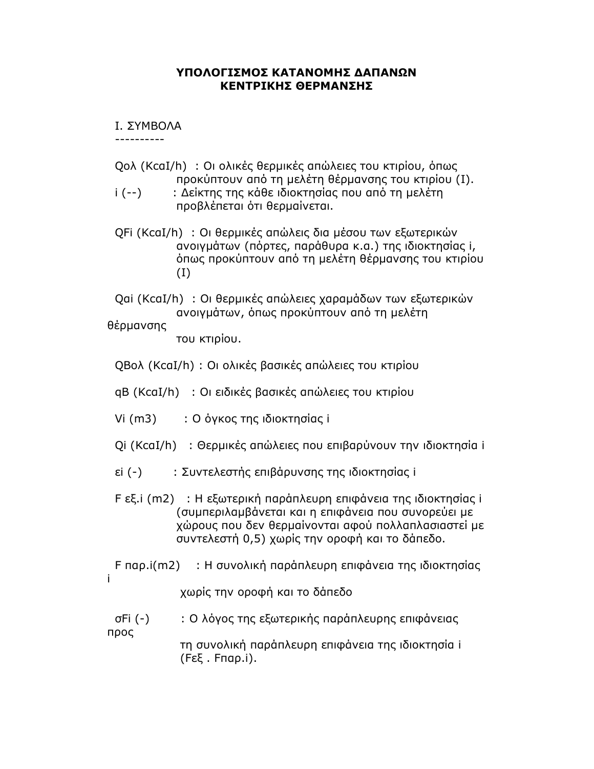#### ΥΠΟΛΟΓΙΣΜΟΣ ΚΑΤΑΝΟΜΗΣ ΔΑΠΑΝΩΝ ΚΕΝΤΡΙΚΗΣ ΘΕΡΜΑΝΣΗΣ

**I. SYMBOAA** 

OOOOOOOOOO

- Qoλ (KcaI/h) :Οι ολικές θερμικές απώλειες του κτιρίου, όπως προκύπτουν από τη μελέτη θέρμανσης του κτιρίου (Ι).
- i (--) : Δείκτης της κάθε ιδιοκτησίας που από τη μελέτη προβλέπεται ότι θερμαίνεται.
- QFi (KcaI/h) : Οι θερμικές απώλεις δια μέσου των εξωτερικών ανοιγμάτων (πόρτες, παράθυρα κ.α.) της ιδιοκτησίας i, όπως προκύπτουν από τη μελέτη θέρμανσης του κτιρίου  $(1)$

Qai (KcaI/h) : Οι θερμικές απώλειες χαραμάδων των εξωτερικών ανοιγμάτων, όπως προκύπτουν από τη μελέτη

# θέρμανσης

του κτιρίου.

QBoλ (KcaI/h) : Οι ολικές βασικές απώλειες του κτιρίου

qB (KcaI/h) : Οι ειδικές βασικές απώλειες του κτιρίου

Vi (m3) : O όγκος της ιδιοκτησίας i

- Qi (KcaI/h) : Θερμικές απώλειες που επιβαρύνουν την ιδιοκτησία i
- εi (-) : Συντελεστής επιβάρυνσης της ιδιοκτησίας i
- F εξ.i (m2) : Η εξωτερική παράπλευρη επιφάνεια της ιδιοκτησίας i (συμπεριλαμβάνεται και η επιφάνεια που συνορεύει με χώρους που δεν θερμαίνονται αφού πολλαπλασιαστεί με συντελεστή 0,5) χωρίς την οροφή και το δάπεδο.
- F παρ.i(m2) : Η συνολική παράπλευρη επιφάνεια της ιδιοκτησίας i

χωρίς την οροφή και το δάπεδο

σFi (-) : Ο λόγος της εξωτερικής παράπλευρης επιφάνειας προς τη συνολική παράπλευρη επιφάνεια της ιδιοκτησία i (Fεξ . Fπαρ.i).